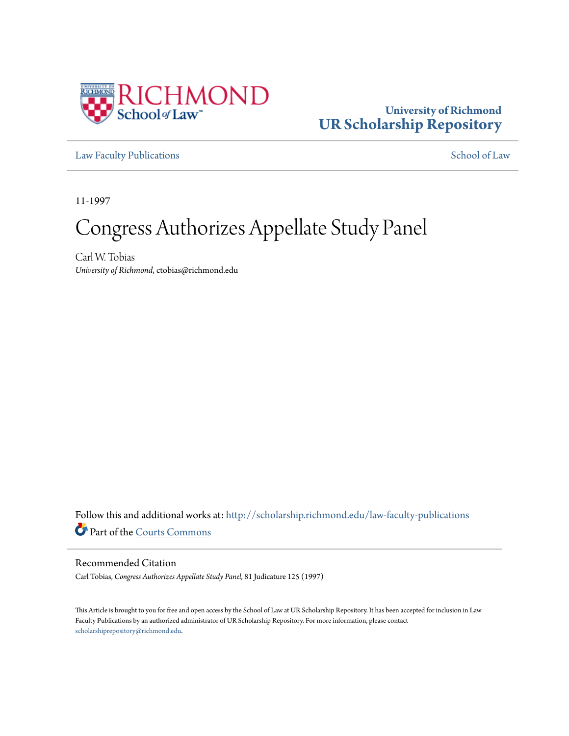

# **University of Richmond [UR Scholarship Repository](http://scholarship.richmond.edu?utm_source=scholarship.richmond.edu%2Flaw-faculty-publications%2F1058&utm_medium=PDF&utm_campaign=PDFCoverPages)**

[Law Faculty Publications](http://scholarship.richmond.edu/law-faculty-publications?utm_source=scholarship.richmond.edu%2Flaw-faculty-publications%2F1058&utm_medium=PDF&utm_campaign=PDFCoverPages) [School of Law](http://scholarship.richmond.edu/law?utm_source=scholarship.richmond.edu%2Flaw-faculty-publications%2F1058&utm_medium=PDF&utm_campaign=PDFCoverPages)

11-1997

# Congress Authorizes Appellate Study Panel

Carl W. Tobias *University of Richmond*, ctobias@richmond.edu

Follow this and additional works at: [http://scholarship.richmond.edu/law-faculty-publications](http://scholarship.richmond.edu/law-faculty-publications?utm_source=scholarship.richmond.edu%2Flaw-faculty-publications%2F1058&utm_medium=PDF&utm_campaign=PDFCoverPages) Part of the [Courts Commons](http://network.bepress.com/hgg/discipline/839?utm_source=scholarship.richmond.edu%2Flaw-faculty-publications%2F1058&utm_medium=PDF&utm_campaign=PDFCoverPages)

### Recommended Citation

Carl Tobias, *Congress Authorizes Appellate Study Panel,* 81 Judicature 125 (1997)

This Article is brought to you for free and open access by the School of Law at UR Scholarship Repository. It has been accepted for inclusion in Law Faculty Publications by an authorized administrator of UR Scholarship Repository. For more information, please contact [scholarshiprepository@richmond.edu.](mailto:scholarshiprepository@richmond.edu)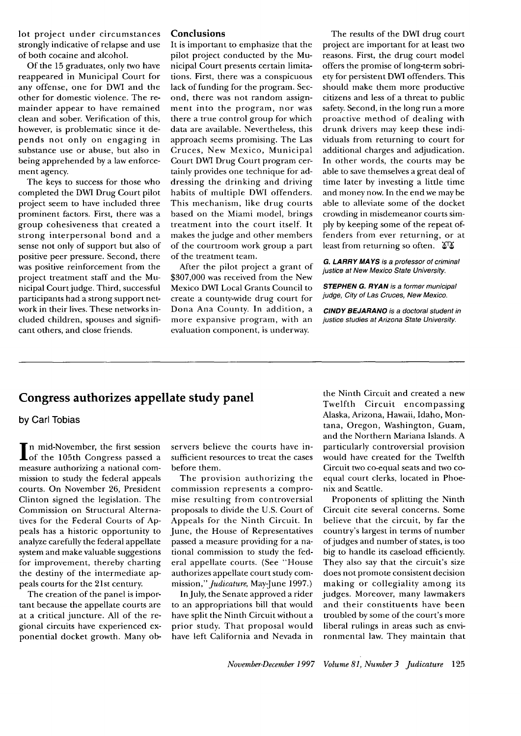lot project under circumstances strongly indicative of relapse and use of both cocaine and alcohol.

Of the 15 graduates, only two have reappeared in Municipal Court for any offense, one for DWI and the other for domestic violence. The remainder appear to have remained clean and sober. Verification of this, however, is problematic since it depends not only on engaging in substance use or abuse, but also in being apprehended by a law enforcement agency.

The keys to success for those who completed the DWI Drug Court pilot project seem to have included three prominent factors. First, there was a group cohesiveness that created a strong interpersonal bond and a sense not only of support but also of positive peer pressure. Second, there was positive reinforcement from the project treatment staff and the Municipal Court judge. Third, successful participants had a strong support network in their lives. These networks included children, spouses and significant others, and close friends.

#### **Conclusions**

It is important to emphasize that the pilot project conducted by the Municipal Court presents certain limitations. First, there was a conspicuous lack of funding for the program. Second, there was not random assignment into the program, nor was there a true control group for which data are available. Nevertheless, this approach seems promising. The Las Cruces, New Mexico, Municipal Court DWI Drug Court program certainly provides one technique for addressing the drinking and driving habits of multiple DWI offenders. This mechanism, like drug courts based on the Miami model, brings treatment into the court itself. It makes the judge and other members of the courtroom work group a part of the treatment team.

After the pilot project a grant of \$307,000 was received from the New Mexico DWI Local Grants Council to create a county-wide drug court for Dona Ana County. In addition, a more expansive program, with an evaluation component, is underway.

The results of the DWI drug court project are important for at least two reasons. First, the drug court model offers the promise of long-term sobriety for persistent DWI offenders. This should make them more productive citizens and less of a threat to public safety. Second, in the long run a more proactive method of dealing with drunk drivers may keep these individuals from returning to court for additional charges and adjudication. In other words, the courts may be able to save themselves a great deal of time later by investing a little time and money now. In the end we may be able to alleviate some of the docket crowding in misdemeanor courts simply by keeping some of the repeat offenders from ever returning, or at least from returning so often.  $\mathfrak{F}^{\dagger} \mathfrak{F}$ 

**G. LARRY MAYS** is a professor of criminal justice at New Mexico State University.

**STEPHEN G. RYAN** is a former municipal judge, City of Las Cruces, New Mexico.

**CINDY BEJARANO** is a doctoral student in justice studies at Arizona State University.

## **Congress authorizes appellate study panel**

**by Carl Tobias** 

In mid-November, the first session<br>
of the 105th Congress passed a of the 105th Congress passed a measure authorizing a national commission to study the federal appeals courts. On November 26, President Clinton signed the legislation. The Commission on Structural Alternatives for the Federal Courts of Appeals has a historic opportunity to analyze carefully the federal appellate system and make valuable suggestions for improvement, thereby charting the destiny of the intermediate appeals courts for the 21st century.

The creation of the panel is important because the appellate courts are at a critical juncture. All of the regional circuits have experienced exponential docket growth. Many ob-

servers believe the courts have insufficient resources to treat the cases before them.

The provision authorizing the commission represents a compromise resulting from controversial proposals to divide the U.S. Court of Appeals for the Ninth Circuit. In June, the House of Representatives passed a measure providing for a national commission to study the federal appellate courts. (See "House authorizes appellate court study commission," *Judicature*, May-June 1997.)

In July, the Senate approved a rider to an appropriations bill that would have split the Ninth Circuit without a prior study. That proposal would have left California and Nevada in the Ninth Circuit and created a new Twelfth Circuit encompassing Alaska, Arizona, Hawaii, Idaho, Montana, Oregon, Washington, Guam, and the Northern Mariana Islands. A particularly controversial provision would have created for the Twelfth Circuit two co-equal seats and two coequal court clerks, located in Phoenix and Seattle.

Proponents of splitting the Ninth Circuit cite several concerns. Some believe that the circuit, by far the country's largest in terms of number of judges and number of states, is too big to handle its caseload efficiently. They also say that the circuit's size does not promote consistent decision making or collegiality among its judges. Moreover, many lawmakers and their constituents have been troubled by some of the court's more liberal rulings in areas such as environmental law. They maintain that